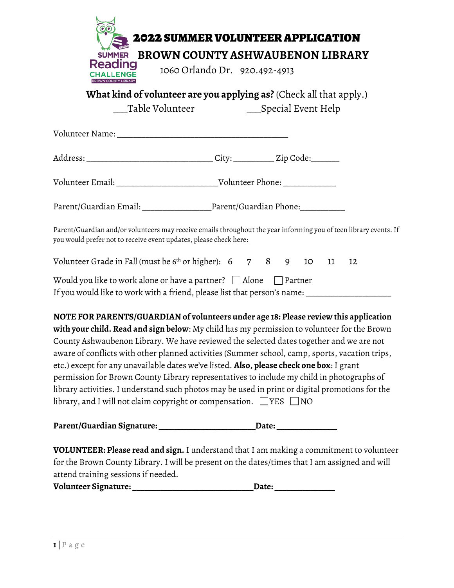|                                                                                                                                                                                                                                                                                                                                                                                                                                                                                                                                                                                                                                                                                                                                                                       | <b>2022 SUMMER VOLUNTEER APPLICATION</b>                            |       |  |    |  |  |
|-----------------------------------------------------------------------------------------------------------------------------------------------------------------------------------------------------------------------------------------------------------------------------------------------------------------------------------------------------------------------------------------------------------------------------------------------------------------------------------------------------------------------------------------------------------------------------------------------------------------------------------------------------------------------------------------------------------------------------------------------------------------------|---------------------------------------------------------------------|-------|--|----|--|--|
| <b>SUMMER</b>                                                                                                                                                                                                                                                                                                                                                                                                                                                                                                                                                                                                                                                                                                                                                         | BROWN COUNTY ASHWAUBENON LIBRARY                                    |       |  |    |  |  |
| <b>Reading</b><br><b>HALLENGE</b>                                                                                                                                                                                                                                                                                                                                                                                                                                                                                                                                                                                                                                                                                                                                     | 1060 Orlando Dr. 920.492-4913                                       |       |  |    |  |  |
| <b>WN COUNTY LIBRARY</b>                                                                                                                                                                                                                                                                                                                                                                                                                                                                                                                                                                                                                                                                                                                                              | What kind of volunteer are you applying as? (Check all that apply.) |       |  |    |  |  |
|                                                                                                                                                                                                                                                                                                                                                                                                                                                                                                                                                                                                                                                                                                                                                                       | _Table Volunteer _____________________Special Event Help            |       |  |    |  |  |
|                                                                                                                                                                                                                                                                                                                                                                                                                                                                                                                                                                                                                                                                                                                                                                       |                                                                     |       |  |    |  |  |
|                                                                                                                                                                                                                                                                                                                                                                                                                                                                                                                                                                                                                                                                                                                                                                       |                                                                     |       |  |    |  |  |
|                                                                                                                                                                                                                                                                                                                                                                                                                                                                                                                                                                                                                                                                                                                                                                       |                                                                     |       |  |    |  |  |
| Parent/Guardian Email: ___________________________Parent/Guardian Phone:_________                                                                                                                                                                                                                                                                                                                                                                                                                                                                                                                                                                                                                                                                                     |                                                                     |       |  |    |  |  |
| Parent/Guardian and/or volunteers may receive emails throughout the year informing you of teen library events. If<br>you would prefer not to receive event updates, please check here:                                                                                                                                                                                                                                                                                                                                                                                                                                                                                                                                                                                |                                                                     |       |  |    |  |  |
| Volunteer Grade in Fall (must be $6th$ or higher): $6$ 7 8 9 10 11                                                                                                                                                                                                                                                                                                                                                                                                                                                                                                                                                                                                                                                                                                    |                                                                     |       |  | 12 |  |  |
| Would you like to work alone or have a partner? $\Box$ Alone $\hphantom{a}$ Partner<br>If you would like to work with a friend, please list that person's name: __________________________                                                                                                                                                                                                                                                                                                                                                                                                                                                                                                                                                                            |                                                                     |       |  |    |  |  |
| NOTE FOR PARENTS/GUARDIAN of volunteers under age 18: Please review this application<br>with your child. Read and sign below: My child has my permission to volunteer for the Brown<br>County Ashwaubenon Library. We have reviewed the selected dates together and we are not<br>aware of conflicts with other planned activities (Summer school, camp, sports, vacation trips,<br>etc.) except for any unavailable dates we've listed. <b>Also, please check one box</b> : I grant<br>permission for Brown County Library representatives to include my child in photographs of<br>library activities. I understand such photos may be used in print or digital promotions for the<br>library, and I will not claim copyright or compensation. $\Box$ YES $\Box$ NO |                                                                     |       |  |    |  |  |
| Parent/Guardian Signature: _________________                                                                                                                                                                                                                                                                                                                                                                                                                                                                                                                                                                                                                                                                                                                          |                                                                     | Date: |  |    |  |  |

**VOLUNTEER: Please read and sign.** I understand that I am making a commitment to volunteer for the Brown County Library. I will be present on the dates/times that I am assigned and will attend training sessions if needed.

| Volunteer Signature:<br><b>Date:</b> |  |
|--------------------------------------|--|
|--------------------------------------|--|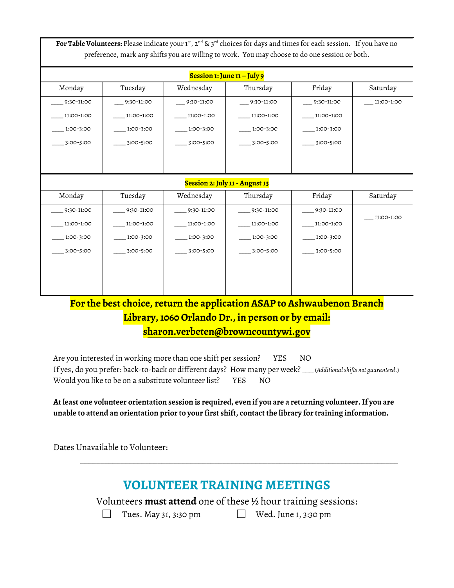For Table Volunteers: Please indicate your 1st, 2<sup>nd</sup> & 3<sup>rd</sup> choices for days and times for each session. If you have no preference, mark any shifts you are willing to work. You may choose to do one session or both.

| Session 1: June 11 – July 9    |               |               |              |            |            |  |  |  |
|--------------------------------|---------------|---------------|--------------|------------|------------|--|--|--|
| Monday                         | Tuesday       | Wednesday     | Thursday     | Friday     | Saturday   |  |  |  |
| 9:30-11:00                     | 9:30-11:00    | 9:30-11:00    | 9:30-11:00   | 9:30-11:00 | 11:00-1:00 |  |  |  |
| 11:00-1:00                     | 11:00-1:00    | 11:00-1:00    | 11:00-1:00   | 11:00-1:00 |            |  |  |  |
| 1:00-3:00                      | 1:00-3:00     | 1:00-3:00     | 1:00-3:00    | 1:00-3:00  |            |  |  |  |
| 3:00-5:00                      | 3:00-5:00     | 3:00-5:00     | 3:00-5:00    | 3:00-5:00  |            |  |  |  |
|                                |               |               |              |            |            |  |  |  |
|                                |               |               |              |            |            |  |  |  |
| Session 2: July 11 - August 13 |               |               |              |            |            |  |  |  |
| Monday                         | Tuesday       | Wednesday     | Thursday     | Friday     | Saturday   |  |  |  |
| 9:30-11:00                     | $-9:30-11:00$ | $-9:30-11:00$ | $9:30-11:00$ | 9:30-11:00 |            |  |  |  |
| 11:00-1:00                     | 11:00-1:00    | 11:00-1:00    | 11:00-1:00   | 11:00-1:00 | 11:00-1:00 |  |  |  |
| 1:00-3:00                      | 1:00-3:00     | 1:00-3:00     | 1:00-3:00    | 1:00-3:00  |            |  |  |  |
| 3:00-5:00                      | 3:00-5:00     | 3:00-5:00     | 3:00-5:00    | 3:00-5:00  |            |  |  |  |
|                                |               |               |              |            |            |  |  |  |
|                                |               |               |              |            |            |  |  |  |
|                                |               |               |              |            |            |  |  |  |

## **For the best choice, return the application ASAP to Ashwaubenon Branch Library, 1060 Orlando Dr., in person or by email: sharon.verbeten@browncountywi.gov**

Are you interested in working more than one shift per session? YES NO If yes, do you prefer: back-to-back or different days? How many per week? \_\_\_ (*Additional shifts not guaranteed*.) Would you like to be on a substitute volunteer list? YES NO

**At least one volunteer orientation session is required, even if you are a returning volunteer. If you are unable to attend an orientation prior to your first shift, contact the library for training information.**

Dates Unavailable to Volunteer:

## **VOLUNTEER TRAINING MEETINGS**

\_\_\_\_\_\_\_\_\_\_\_\_\_\_\_\_\_\_\_\_\_\_\_\_\_\_\_\_\_\_\_\_\_\_\_\_\_\_\_\_\_\_\_\_\_\_\_\_\_\_\_\_\_\_\_\_\_\_\_\_\_\_\_\_\_\_\_\_\_\_\_\_\_\_\_\_\_\_

Volunteers **must attend** one of these ½ hour training sessions:

 $\Box$ 

Tues. May 31, 3:30 pm Wed. June 1, 3:30 pm